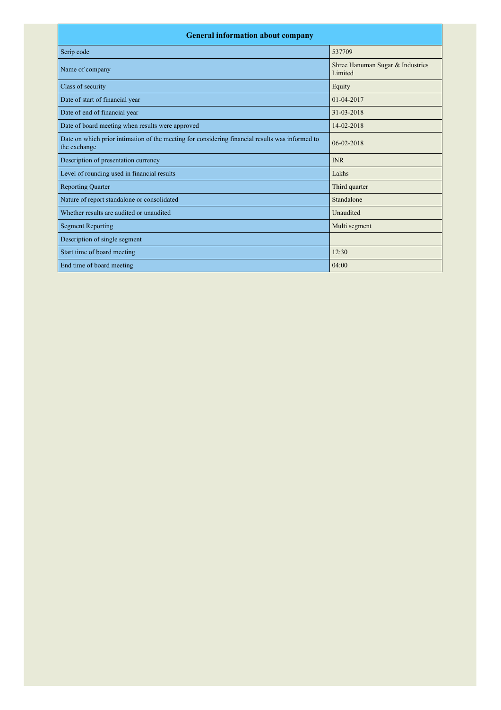| <b>General information about company</b>                                                                        |                                             |  |  |
|-----------------------------------------------------------------------------------------------------------------|---------------------------------------------|--|--|
| Scrip code                                                                                                      | 537709                                      |  |  |
| Name of company                                                                                                 | Shree Hanuman Sugar & Industries<br>Limited |  |  |
| Class of security                                                                                               | Equity                                      |  |  |
| Date of start of financial year                                                                                 | $01 - 04 - 2017$                            |  |  |
| Date of end of financial year                                                                                   | 31-03-2018                                  |  |  |
| Date of board meeting when results were approved                                                                | 14-02-2018                                  |  |  |
| Date on which prior intimation of the meeting for considering financial results was informed to<br>the exchange | $06 - 02 - 2018$                            |  |  |
| Description of presentation currency                                                                            | <b>INR</b>                                  |  |  |
| Level of rounding used in financial results                                                                     | Lakhs                                       |  |  |
| <b>Reporting Quarter</b>                                                                                        | Third quarter                               |  |  |
| Nature of report standalone or consolidated                                                                     | Standalone                                  |  |  |
| Whether results are audited or unaudited                                                                        | Unaudited                                   |  |  |
| <b>Segment Reporting</b>                                                                                        | Multi segment                               |  |  |
| Description of single segment                                                                                   |                                             |  |  |
| Start time of board meeting                                                                                     | 12:30                                       |  |  |
| End time of board meeting                                                                                       | 04:00                                       |  |  |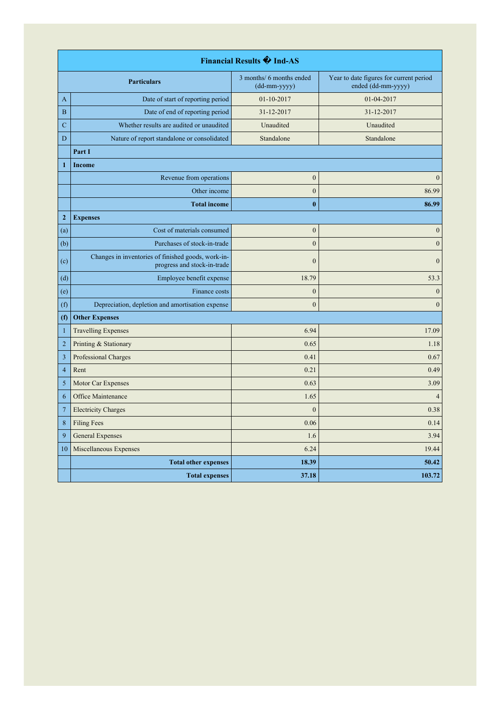| Financial Results �� Ind-AS |                                                                                   |                                          |                                                               |  |
|-----------------------------|-----------------------------------------------------------------------------------|------------------------------------------|---------------------------------------------------------------|--|
|                             | <b>Particulars</b>                                                                | 3 months/ 6 months ended<br>(dd-mm-yyyy) | Year to date figures for current period<br>ended (dd-mm-yyyy) |  |
| A                           | Date of start of reporting period                                                 | 01-10-2017                               | 01-04-2017                                                    |  |
| $\boldsymbol{B}$            | Date of end of reporting period                                                   | 31-12-2017                               | 31-12-2017                                                    |  |
| $\mathbf C$                 | Whether results are audited or unaudited                                          | Unaudited                                | Unaudited                                                     |  |
| D                           | Nature of report standalone or consolidated                                       | Standalone                               | Standalone                                                    |  |
|                             | Part I                                                                            |                                          |                                                               |  |
| $\mathbf{1}$                | Income                                                                            |                                          |                                                               |  |
|                             | Revenue from operations                                                           | $\boldsymbol{0}$                         | $\mathbf{0}$                                                  |  |
|                             | Other income                                                                      | $\mathbf{0}$                             | 86.99                                                         |  |
|                             | <b>Total income</b>                                                               | $\bf{0}$                                 | 86.99                                                         |  |
| $\boldsymbol{2}$            | <b>Expenses</b>                                                                   |                                          |                                                               |  |
| (a)                         | Cost of materials consumed                                                        | $\boldsymbol{0}$                         | $\boldsymbol{0}$                                              |  |
| (b)                         | Purchases of stock-in-trade                                                       | $\boldsymbol{0}$                         | $\boldsymbol{0}$                                              |  |
| (c)                         | Changes in inventories of finished goods, work-in-<br>progress and stock-in-trade | $\mathbf{0}$                             | $\theta$                                                      |  |
| (d)                         | Employee benefit expense                                                          | 18.79                                    | 53.3                                                          |  |
| (e)                         | Finance costs                                                                     | $\boldsymbol{0}$                         | $\boldsymbol{0}$                                              |  |
| (f)                         | Depreciation, depletion and amortisation expense                                  | $\mathbf{0}$                             | $\mathbf{0}$                                                  |  |
| (f)                         | <b>Other Expenses</b>                                                             |                                          |                                                               |  |
| $\mathbf{1}$                | <b>Travelling Expenses</b>                                                        | 6.94                                     | 17.09                                                         |  |
| $\sqrt{2}$                  | Printing & Stationary                                                             | 0.65                                     | 1.18                                                          |  |
| $\overline{\mathbf{3}}$     | Professional Charges                                                              | 0.41                                     | 0.67                                                          |  |
| $\overline{4}$              | Rent                                                                              | 0.21                                     | 0.49                                                          |  |
| 5                           | Motor Car Expenses                                                                | 0.63                                     | 3.09                                                          |  |
| 6                           | Office Maintenance                                                                | 1.65                                     | $\overline{4}$                                                |  |
| $\overline{7}$              | <b>Electricity Charges</b>                                                        | $\mathbf{0}$                             | 0.38                                                          |  |
| 8                           | <b>Filing Fees</b>                                                                | 0.06                                     | 0.14                                                          |  |
| 9                           | <b>General Expenses</b>                                                           | 1.6                                      | 3.94                                                          |  |
| 10                          | Miscellaneous Expenses                                                            | 6.24                                     | 19.44                                                         |  |
|                             | <b>Total other expenses</b>                                                       | 18.39                                    | 50.42                                                         |  |
|                             | <b>Total expenses</b>                                                             | 37.18                                    | 103.72                                                        |  |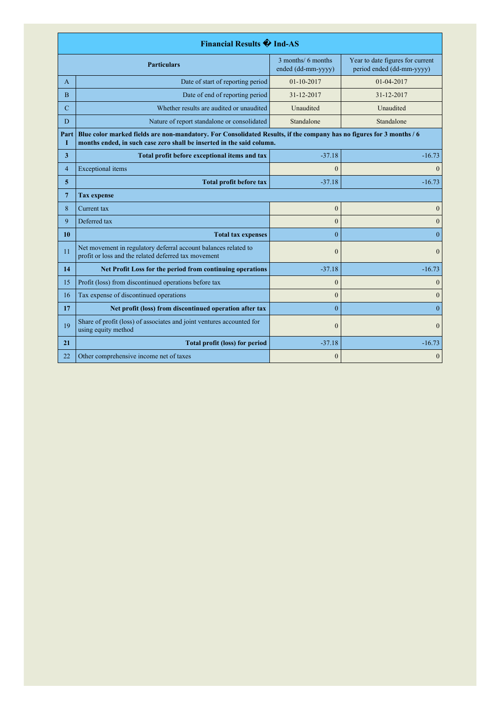|                                                                 | Financial Results �� Ind-AS                                                                                                                                                                   |                                          |                                                               |  |
|-----------------------------------------------------------------|-----------------------------------------------------------------------------------------------------------------------------------------------------------------------------------------------|------------------------------------------|---------------------------------------------------------------|--|
|                                                                 | <b>Particulars</b>                                                                                                                                                                            | 3 months/ 6 months<br>ended (dd-mm-yyyy) | Year to date figures for current<br>period ended (dd-mm-yyyy) |  |
| A                                                               | Date of start of reporting period                                                                                                                                                             | 01-10-2017                               | 01-04-2017                                                    |  |
| B                                                               | Date of end of reporting period                                                                                                                                                               | 31-12-2017                               | 31-12-2017                                                    |  |
| $\mathbf C$                                                     | Whether results are audited or unaudited                                                                                                                                                      | Unaudited                                | Unaudited                                                     |  |
| D                                                               | Nature of report standalone or consolidated                                                                                                                                                   | Standalone                               | Standalone                                                    |  |
| Part<br>I                                                       | Blue color marked fields are non-mandatory. For Consolidated Results, if the company has no figures for 3 months / 6<br>months ended, in such case zero shall be inserted in the said column. |                                          |                                                               |  |
| $\overline{\mathbf{3}}$                                         | Total profit before exceptional items and tax                                                                                                                                                 | $-37.18$                                 | $-16.73$                                                      |  |
| $\overline{4}$                                                  | <b>Exceptional</b> items                                                                                                                                                                      | $\theta$                                 | $\theta$                                                      |  |
| 5                                                               | <b>Total profit before tax</b>                                                                                                                                                                | $-37.18$                                 | $-16.73$                                                      |  |
| $7\phantom{.0}$                                                 | <b>Tax expense</b>                                                                                                                                                                            |                                          |                                                               |  |
| 8                                                               | Current tax                                                                                                                                                                                   | $\overline{0}$                           | $\mathbf{0}$                                                  |  |
| 9                                                               | Deferred tax                                                                                                                                                                                  | $\mathbf{0}$                             | $\mathbf{0}$                                                  |  |
| 10                                                              | <b>Total tax expenses</b>                                                                                                                                                                     | $\theta$                                 | $\theta$                                                      |  |
| 11                                                              | Net movement in regulatory deferral account balances related to<br>profit or loss and the related deferred tax movement                                                                       | $\theta$                                 | $\Omega$                                                      |  |
| 14<br>Net Profit Loss for the period from continuing operations |                                                                                                                                                                                               | $-37.18$                                 | $-16.73$                                                      |  |
| 15                                                              | Profit (loss) from discontinued operations before tax                                                                                                                                         | $\overline{0}$                           | $\mathbf{0}$                                                  |  |
| 16                                                              | Tax expense of discontinued operations                                                                                                                                                        | $\overline{0}$                           | $\boldsymbol{0}$                                              |  |
| 17                                                              | Net profit (loss) from discontinued operation after tax                                                                                                                                       | $\theta$                                 | $\theta$                                                      |  |
| 19                                                              | Share of profit (loss) of associates and joint ventures accounted for<br>using equity method                                                                                                  | $\theta$                                 | $\Omega$                                                      |  |
| 21                                                              | <b>Total profit (loss) for period</b>                                                                                                                                                         | $-37.18$                                 | $-16.73$                                                      |  |
| 22<br>Other comprehensive income net of taxes                   |                                                                                                                                                                                               | $\mathbf{0}$                             | $\mathbf{0}$                                                  |  |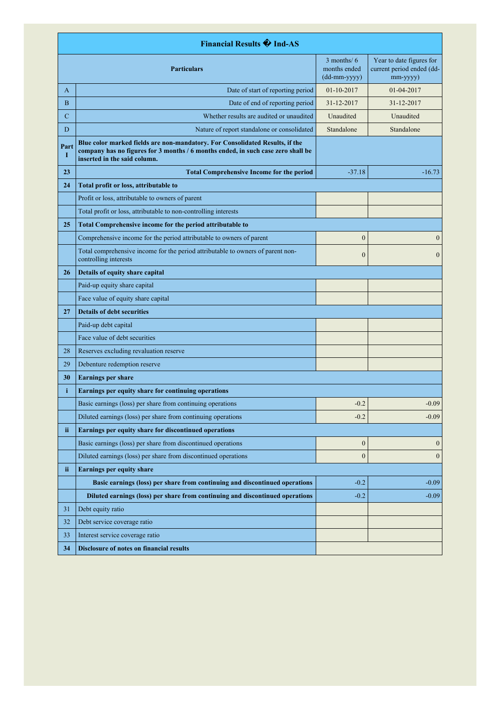| <b>Financial Results + Ind-AS</b> |                                                                                                                                                                                                  |                                                                                       |                                                                   |
|-----------------------------------|--------------------------------------------------------------------------------------------------------------------------------------------------------------------------------------------------|---------------------------------------------------------------------------------------|-------------------------------------------------------------------|
| <b>Particulars</b>                |                                                                                                                                                                                                  | $3$ months/ $6$<br>months ended<br>$(dd{\text{-}\!\!\,\text{mm-}}\text{\small{yyyy}}$ | Year to date figures for<br>current period ended (dd-<br>mm-yyyy) |
| A                                 | Date of start of reporting period                                                                                                                                                                | 01-10-2017                                                                            | $01-04-2017$                                                      |
| B                                 | Date of end of reporting period                                                                                                                                                                  | 31-12-2017                                                                            | 31-12-2017                                                        |
| $\mathbf C$                       | Whether results are audited or unaudited                                                                                                                                                         | Unaudited                                                                             | Unaudited                                                         |
| D                                 | Nature of report standalone or consolidated                                                                                                                                                      | Standalone                                                                            | Standalone                                                        |
| Part<br>Т                         | Blue color marked fields are non-mandatory. For Consolidated Results, if the<br>company has no figures for 3 months / 6 months ended, in such case zero shall be<br>inserted in the said column. |                                                                                       |                                                                   |
| 23                                | <b>Total Comprehensive Income for the period</b>                                                                                                                                                 | $-37.18$                                                                              | $-16.73$                                                          |
| 24                                | Total profit or loss, attributable to                                                                                                                                                            |                                                                                       |                                                                   |
|                                   | Profit or loss, attributable to owners of parent                                                                                                                                                 |                                                                                       |                                                                   |
|                                   | Total profit or loss, attributable to non-controlling interests                                                                                                                                  |                                                                                       |                                                                   |
| 25                                | Total Comprehensive income for the period attributable to                                                                                                                                        |                                                                                       |                                                                   |
|                                   | Comprehensive income for the period attributable to owners of parent                                                                                                                             | $\boldsymbol{0}$                                                                      | $\mathbf{0}$                                                      |
|                                   | Total comprehensive income for the period attributable to owners of parent non-<br>controlling interests                                                                                         | $\boldsymbol{0}$                                                                      | $\mathbf{0}$                                                      |
| 26                                | Details of equity share capital                                                                                                                                                                  |                                                                                       |                                                                   |
|                                   | Paid-up equity share capital                                                                                                                                                                     |                                                                                       |                                                                   |
|                                   | Face value of equity share capital                                                                                                                                                               |                                                                                       |                                                                   |
| 27                                | <b>Details of debt securities</b>                                                                                                                                                                |                                                                                       |                                                                   |
|                                   | Paid-up debt capital                                                                                                                                                                             |                                                                                       |                                                                   |
|                                   | Face value of debt securities                                                                                                                                                                    |                                                                                       |                                                                   |
| 28                                | Reserves excluding revaluation reserve                                                                                                                                                           |                                                                                       |                                                                   |
| 29                                | Debenture redemption reserve                                                                                                                                                                     |                                                                                       |                                                                   |
| 30                                | <b>Earnings per share</b>                                                                                                                                                                        |                                                                                       |                                                                   |
| i                                 | Earnings per equity share for continuing operations                                                                                                                                              |                                                                                       |                                                                   |
|                                   | Basic earnings (loss) per share from continuing operations                                                                                                                                       | $-0.2$                                                                                | $-0.09$                                                           |
|                                   | Diluted earnings (loss) per share from continuing operations                                                                                                                                     | $-0.2$                                                                                | $-0.09$                                                           |
| ii                                | Earnings per equity share for discontinued operations                                                                                                                                            |                                                                                       |                                                                   |
|                                   | Basic earnings (loss) per share from discontinued operations                                                                                                                                     | $\boldsymbol{0}$                                                                      | $\boldsymbol{0}$                                                  |
|                                   | Diluted earnings (loss) per share from discontinued operations                                                                                                                                   | $\boldsymbol{0}$                                                                      | $\mathbf{0}$                                                      |
| ii                                | <b>Earnings per equity share</b>                                                                                                                                                                 |                                                                                       |                                                                   |
|                                   | Basic earnings (loss) per share from continuing and discontinued operations                                                                                                                      | $-0.2$                                                                                | $-0.09$                                                           |
|                                   | Diluted earnings (loss) per share from continuing and discontinued operations                                                                                                                    | $-0.2$                                                                                | $-0.09$                                                           |
| 31                                | Debt equity ratio                                                                                                                                                                                |                                                                                       |                                                                   |
| 32                                | Debt service coverage ratio                                                                                                                                                                      |                                                                                       |                                                                   |
| 33                                | Interest service coverage ratio                                                                                                                                                                  |                                                                                       |                                                                   |
| 34                                | Disclosure of notes on financial results                                                                                                                                                         |                                                                                       |                                                                   |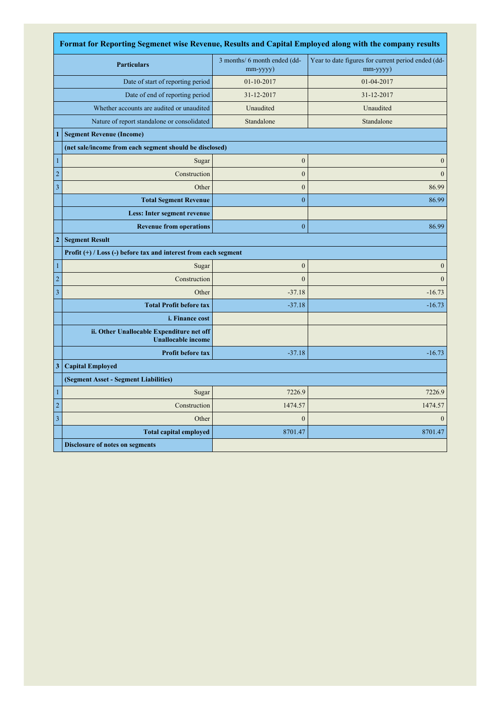| Format for Reporting Segmenet wise Revenue, Results and Capital Employed along with the company results |                                                                        |                                                |                                                                      |
|---------------------------------------------------------------------------------------------------------|------------------------------------------------------------------------|------------------------------------------------|----------------------------------------------------------------------|
| <b>Particulars</b>                                                                                      |                                                                        | 3 months/ 6 month ended (dd-<br>$mm$ -yyyy $)$ | Year to date figures for current period ended (dd-<br>$mm$ -yyyy $)$ |
| Date of start of reporting period                                                                       |                                                                        | 01-10-2017                                     | 01-04-2017                                                           |
|                                                                                                         | Date of end of reporting period                                        | 31-12-2017                                     | 31-12-2017                                                           |
|                                                                                                         | Whether accounts are audited or unaudited                              | Unaudited                                      | Unaudited                                                            |
|                                                                                                         | Nature of report standalone or consolidated                            | Standalone                                     | Standalone                                                           |
| 1                                                                                                       | <b>Segment Revenue (Income)</b>                                        |                                                |                                                                      |
|                                                                                                         | (net sale/income from each segment should be disclosed)                |                                                |                                                                      |
| $\mathbf{1}$                                                                                            | Sugar                                                                  | $\boldsymbol{0}$                               | $\boldsymbol{0}$                                                     |
| $\sqrt{2}$                                                                                              | Construction                                                           | $\mathbf{0}$                                   | $\Omega$                                                             |
| $\mathfrak z$                                                                                           | Other                                                                  | $\boldsymbol{0}$                               | 86.99                                                                |
|                                                                                                         | <b>Total Segment Revenue</b>                                           | $\mathbf{0}$                                   | 86.99                                                                |
|                                                                                                         | Less: Inter segment revenue                                            |                                                |                                                                      |
|                                                                                                         | <b>Revenue from operations</b>                                         | $\bf{0}$                                       | 86.99                                                                |
| $\mathbf{2}$                                                                                            | <b>Segment Result</b>                                                  |                                                |                                                                      |
|                                                                                                         | Profit (+) / Loss (-) before tax and interest from each segment        |                                                |                                                                      |
| $\mathbf{1}$                                                                                            | Sugar                                                                  | $\boldsymbol{0}$                               | $\mathbf{0}$                                                         |
| $\overline{c}$                                                                                          | Construction                                                           | $\boldsymbol{0}$                               | $\mathbf{0}$                                                         |
| $\overline{3}$                                                                                          | Other                                                                  | $-37.18$                                       | $-16.73$                                                             |
|                                                                                                         | <b>Total Profit before tax</b>                                         | $-37.18$                                       | $-16.73$                                                             |
|                                                                                                         | <i>i. Finance cost</i>                                                 |                                                |                                                                      |
|                                                                                                         | ii. Other Unallocable Expenditure net off<br><b>Unallocable income</b> |                                                |                                                                      |
|                                                                                                         | Profit before tax                                                      | $-37.18$                                       | $-16.73$                                                             |
| 3                                                                                                       | <b>Capital Employed</b>                                                |                                                |                                                                      |
|                                                                                                         | (Segment Asset - Segment Liabilities)                                  |                                                |                                                                      |
| $\mathbf{1}$                                                                                            | Sugar                                                                  | 7226.9                                         | 7226.9                                                               |
| $\overline{c}$                                                                                          | Construction                                                           | 1474.57                                        | 1474.57                                                              |
| $\overline{3}$                                                                                          | Other                                                                  | $\mathbf{0}$                                   | $\Omega$                                                             |
|                                                                                                         | <b>Total capital employed</b>                                          | 8701.47                                        | 8701.47                                                              |
|                                                                                                         | <b>Disclosure of notes on segments</b>                                 |                                                |                                                                      |